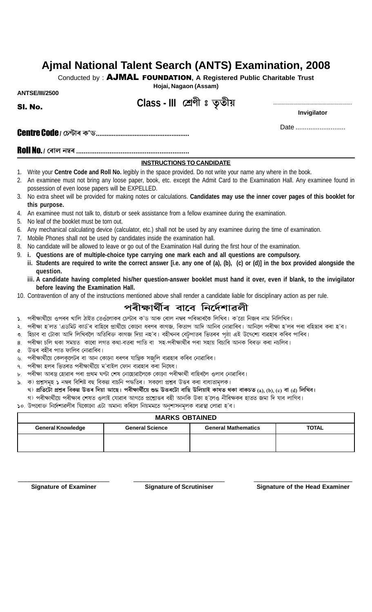# **Ajmal National Talent Search (ANTS) Examination, 2008**

Conducted by : AJMAL FOUNDATION**, A Registered Public Charitable Trust**

**Hojai, Nagaon (Assam)**

**ANTSE/III/2500**

Sl. No.

## **Class - III**

**Invigilator**

Centre Code **/**

Date ............................

Roll No. **/**

#### **INSTRUCTIONS TO CANDIDATE**

- 1. Write your **Centre Code and Roll No.** legibly in the space provided. Do not write your name any where in the book.
- 2. An examinee must not bring any loose paper, book, etc. except the Admit Card to the Examination Hall. Any examinee found in possession of even loose papers will be EXPELLED. EFTEL THE STRUCTIONS THE Code and Roll No. legibly in the space provide<br>must not bring any loose paper, book, etc. except<br>even loose papers will be EXPELLED.<br>et will be provided for making notes or calculations.<br>e.<br>must no
- 3. No extra sheet will be provided for making notes or calculations. **Candidates may use the inner cover pages of this booklet for this purpose.**
- 4. An examinee must not talk to, disturb or seek assistance from a fellow examinee during the examination.
- 5. No leaf of the booklet must be torn out.
- 6. Any mechanical calculating device (calculator, etc.) shall not be used by any examinee during the time of examination.
- 7. Mobile Phones shall not be used by candidates inside the examination hall.
- 8. No candidate will be allowed to leave or go out of the Examination Hall during the first hour of the examination.
- 9. **i. Questions are of multiple-choice type carrying one mark each and all questions are compulsory.**
- Examples and the book.<br>
This intermal intermal intermal intermal intermal intermal intermed in the book.<br>
Examination Hall. Any examinee found in<br>
S. Candidates may use the inner cover pages of this booklet for<br>
a fellow e **ii. Students are required to write the correct answer [i.e. any one of (a), (b), (c) or (d)] in the box provided alongside the question. Example 12**<br> **EXECUTIONS 1**<br> **INSTRUCTIONS 1**<br> **INSTRUCTIONS 1**<br> **INSTRUCTIONS 1**<br> **INSTRUCTIONS 1**<br> **INSTRUCTIONS 1**<br> **INSTRUCTIONS 1**<br> **INSTRUCTIONS 1**<br> **INSTRUCTIONS 1**<br> **INSTRUCTIONS 1**<br> **INSTRUCTIONS 1**<br> **INSTRUCTION** 
	- **iii. A candidate having completed his/her question-answer booklet must hand it over, even if blank, to the invigilator before leaving the Examination Hall.**
- 10. Contravention of any of the instructions mentioned above shall render a candidate liable for disciplinary action as per rule.

## পৰীক্ষাৰ্থীৰ বাবে নিৰ্দেশাৱলী

- 
- ১. পৰীক্ষাৰ্থীয়ে ওপৰৰ খালি ঠাইত তেওঁলোকৰ চেণ্টাৰ ক'ড আৰু ৰোল নম্বৰ পৰিস্কাৰকৈ লিখিব। ক'তো নিজৰ নাম নিলিখিব।<br>২. পৰীক্ষা হ'লত 'এডমিট কাৰ্ড'ৰ বাহিৰে প্ৰাৰ্থীয়ে কোনো ধৰণৰ কাগজ, কিতাপ আদি আনিব নোৱাৰিব। আনিলে পৰীক্ষা হ'লৰ
- 
- 
- 
- 
- 
- 
- 
- ২. পৰীক্ষা হ'লত 'এডমিট কাৰ্ড'ৰ বাহিৰে প্ৰাথীয়ে কোনো ধৰণৰ কাগজ, কিতাপ আদি আনিব নোৱাৰিব। আনিলে পৰীক্ষা হ'লৰ পৰা বহিষ্কাৰ কৰা হ'ব।<br>৩. হিচাব বা টোকা আদি লিখিবলৈ অতিৰিক্ত কাগজ দিয়া নহ'ব। বহীখনৰ বেটুপাতৰ ভিতৰৰ পৃষ্ঠা এই উ ৩. হিচাব বা টোকা আদি লিখিবলৈ অতিৰিক্ত কাগজ দিয়া নহ'ব। বহীখনৰ বেটুপাতৰ ভিতৰৰ পৃষ্ঠা এই উদ্দেশ্যে ব্যৱহাৰ কৰিব পাৰিব।<br>৪. পৰীক্ষা চলি থকা সময়ত কাৰো লগত কথা-বতৰা পাতি বা সহ-পৰীক্ষাৰ্থীৰ পৰা সহায় বিচাৰি আনক বিৰক্ত কৰা 4. উত্তৰ বহীৰ পাত ফালিব নোৱাৰিব।<br>৬. পৰীক্ষাৰ্থীয়ে কেলকুলেটৰ বা আন কোনো ধৰণৰ যান্ত্ৰিক সজুলি ব্যৱহাৰ কৰিব নোৱাৰিব।<br>৮. পৰীক্ষা হলৰ ভিতৰত পৰীক্ষাৰ্থীয়ে ম'বাইল ফোন ব্যৱহাৰ কৰা নিষেধ।<br>৯. ক) প্ৰশ্নসমূহ ১ নম্বৰ বিশিষ্ট বহু বি ৬. পৰীক্ষাৰ্থীয়ে কেলকুলেটৰ বা আন বে<br>৭. পৰীক্ষা হলৰ ভিতৰত পৰীক্ষাৰ্থীয়ে ম<br>৮. পৰীক্ষা আৰম্ভ হোৱাৰ পৰা প্ৰথম ঘণ্<br>১. ক) প্ৰশ্নসমূহ ১ নম্বৰ বিশিষ্ট বহু বিব<br>২) প্ৰতিটো প্ৰশ্নৰ বিকল্প উত্তৰ দিয়<br>১০. উপৰোক্ত নিৰ্দেশাৱলীৰ যি

#### **MARKS OBTAINED**

| 8.<br>Ý.<br>٩. | ১.   পৰীক্ষাৰ্থীয়ে ওপৰৰ খালি ঠাইত তেওঁলোকৰ চেণ্টাৰ ক'ড আৰু ৰোল নম্বৰ পৰিস্কাৰকৈ লিখিব। ক'তো নিজৰ নাম নিলিখিব।<br>২.  পৰীক্ষা হ'লত 'এডমিট কাৰ্ড'ৰ বাহিৰে প্ৰাৰ্থীয়ে কোনো ধৰণৰ কাগজ, কিতাপ আদি আনিব নোৱাৰিব। আনিলে পৰীক্ষা হ'লৰ পৰা বহিষ্কাৰ কৰা হ'ব।<br>৩. হিচাব বা টোকা আদি লিখিবলৈ অতিৰিক্ত কাগজ দিয়া নহ'ব। বহীখনৰ বেটুপাতৰ ভিতৰৰ পৃষ্ঠা এই উদ্দেশ্যে ব্যৱহাৰ কৰিব পাৰিব।<br>পৰীক্ষা চলি থকা সময়ত  কাৰো লগত কথা-বতৰা পাতি বা  সহ-পৰীক্ষাৰ্থীৰ পৰা সহায় বিচাৰি আনক বিৰক্ত কৰা নচলিব।<br>৫. উত্তৰ বহীৰ পাত ফালিব নোৱাৰিব।<br>পৰীক্ষাৰ্থীয়ে কেলকুলেটৰ বা আন কোনো ধৰণৰ যান্ত্ৰিক সজুলি ব্যৱহাৰ কৰিব নোৱাৰিব।<br>পৰীক্ষা হলৰ ভিতৰত পৰীক্ষাৰ্থীয়ে ম'বাইল ফোন ব্যৱহাৰ কৰা নিষেধ।<br>পৰীক্ষা আৰম্ভ হোৱাৰ পৰা প্ৰথম ঘণ্টা শেষ নোহোৱালৈকে কোনো পৰীক্ষাৰ্থী বাহিৰলৈ ওলাব নোৱাৰিব।<br>৯. ক) প্ৰশ্নসমূহ ১ নম্বৰ বিশিষ্ট বহু বিকল্প বাচনি পদ্ধতিৰ। সকলো প্ৰশ্নৰ উত্তৰ কৰা বাধ্যতামূলক।<br>খ) প্ৰতিটো প্ৰশ্নৰ বিকল্প উত্তৰ দিয়া আছে। পৰীক্ষাৰ্থীয়ে শুদ্ধ উত্তৰটো বাছি উলিয়াই কাষত থকা বাকচত (a), (b), (c) বা (d) লিখিব।<br>গ) পৰীক্ষাৰ্থীয়ে পৰীক্ষাৰ শেষত ওলাই যোৱাৰ আগতে প্ৰশ্নোত্তৰ বহী আনকি উকা হ'লেও নীৰিক্ষকৰ হাতত জমা দি যাব লাগিব।<br>১০. উপৰোক্ত নিৰ্দেশাৱলীৰ যিকোনো এটা অমান্য কৰিলে নিয়মমতে অনুশাসনমূলক ব্যৱস্থা লোৱা হ'ব। |                        |                            |              |  |  |  |  |  |  |
|----------------|------------------------------------------------------------------------------------------------------------------------------------------------------------------------------------------------------------------------------------------------------------------------------------------------------------------------------------------------------------------------------------------------------------------------------------------------------------------------------------------------------------------------------------------------------------------------------------------------------------------------------------------------------------------------------------------------------------------------------------------------------------------------------------------------------------------------------------------------------------------------------------------------------------------------------------------------------------------------------------------------------------------------------------------------------------------------------------------------------------------------------------------------------------------------------------------------------------------------------------|------------------------|----------------------------|--------------|--|--|--|--|--|--|
|                | <b>MARKS OBTAINED</b>                                                                                                                                                                                                                                                                                                                                                                                                                                                                                                                                                                                                                                                                                                                                                                                                                                                                                                                                                                                                                                                                                                                                                                                                              |                        |                            |              |  |  |  |  |  |  |
|                | <b>General Knowledge</b>                                                                                                                                                                                                                                                                                                                                                                                                                                                                                                                                                                                                                                                                                                                                                                                                                                                                                                                                                                                                                                                                                                                                                                                                           | <b>General Science</b> | <b>General Mathematics</b> | <b>TOTAL</b> |  |  |  |  |  |  |
|                |                                                                                                                                                                                                                                                                                                                                                                                                                                                                                                                                                                                                                                                                                                                                                                                                                                                                                                                                                                                                                                                                                                                                                                                                                                    |                        |                            |              |  |  |  |  |  |  |
|                | <b>Signature of Examiner</b><br><b>Signature of Scrutiniser</b><br><b>Signature of the Head Examiner</b>                                                                                                                                                                                                                                                                                                                                                                                                                                                                                                                                                                                                                                                                                                                                                                                                                                                                                                                                                                                                                                                                                                                           |                        |                            |              |  |  |  |  |  |  |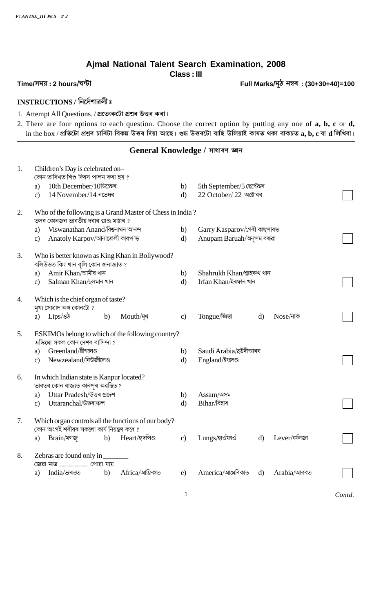### Ajmal National Talent Search Examination, 2008 **Class: III**

Full Marks/মুঠ নম্বৰ : (30+30+40)=100

### Time/সময়: 2 hours/ঘন্টা

### INSTRUCTIONS / निर्द्रमाइली:

- 1. Attempt All Questions. / প্ৰত্যেকটো প্ৰশ্নৰ উত্তৰ কৰা।
- 2. There are four options to each question. Choose the correct option by putting any one of a, b, c or d, in the box / প্ৰতিটো প্ৰশ্নৰ চাৰিটা বিকল্প উত্তৰ দিয়া আছে। শুদ্ধ উত্তৰটো বাছি উলিয়াই কাষত থকা বাকচত  $\bf a, \bf b, \bf c$  বা  $\bf d$  লিখিবা।

#### General Knowledge / সাধাৰণ জ্ঞান

| 1. | Children's Day is celebrated on-<br>কোন তাৰিখত শিশু দিবস পালন কৰা হয় ?                           |              |                             |              |             |        |  |  |  |
|----|---------------------------------------------------------------------------------------------------|--------------|-----------------------------|--------------|-------------|--------|--|--|--|
|    | 10th December/10ডিচেম্বৰ<br>a)                                                                    | b)           | 5th September/5 ছেপ্টেম্বৰ  |              |             |        |  |  |  |
|    | 14 November/14 নভেম্বৰ<br>$\mathbf{c}$                                                            | $\mathbf{d}$ | 22 October/ 22 অক্টোবৰ      |              |             |        |  |  |  |
| 2. | Who of the following is a Grand Master of Chess in India?                                         |              |                             |              |             |        |  |  |  |
|    | তলৰ কোনজন ভাৰতীয় দবাৰ গ্ৰাণ্ড মাষ্টাৰ ?                                                          |              |                             |              |             |        |  |  |  |
|    | Viswanathan Anand/বিশ্বনাথন আনন্দ<br>a)                                                           | b)           | Garry Kasparov/গেৰী কাছপাৰভ |              |             |        |  |  |  |
|    | Anatoly Karpov/আনাতোলী কাৰপ'ভ<br>c)                                                               | $\mathbf{d}$ | Anupam Baruah/অনুপম বৰুৱা   |              |             |        |  |  |  |
| 3. | Who is better known as King Khan in Bollywood?<br>বলিউডত কিং খান বুলি কোন জনাজাত ?                |              |                             |              |             |        |  |  |  |
|    | Amir Khan/আমীৰ খান<br>a)                                                                          | b)           | Shahrukh Khan/শ্বাহৰুখ খান  |              |             |        |  |  |  |
|    | Salman Khan/ছলমান খান<br>c)                                                                       | $\mathbf{d}$ | Irfan Khan/ইৰফান খান        |              |             |        |  |  |  |
| 4. | Which is the chief organ of taste?                                                                |              |                             |              |             |        |  |  |  |
|    | মুখ্য সোৱাদ অঙ্গ কোনটো?                                                                           |              |                             |              |             |        |  |  |  |
|    | $Lips\llap{/}\otimes\sigma$<br>Mouth/মুখ<br>b)<br>a)                                              | c)           | Tongue/জিভা                 | $\mathbf{d}$ | Nose/নাক    |        |  |  |  |
| 5. | ESKIMOs belong to which of the following country?<br>এস্কিমো সকল কোন দেশৰ বাসিন্দা ?              |              |                             |              |             |        |  |  |  |
|    | Greenland/গ্রীণলেণ্ড<br>a)                                                                        | b)           | Saudi Arabia/ছউদীআৰব        |              |             |        |  |  |  |
|    | Newzealand/নিউজীলেণ্ড<br>$\mathbf{c}$                                                             | $\mathbf{d}$ | England/ইংলেণ্ড             |              |             |        |  |  |  |
| 6. | In which Indian state is Kanpur located?                                                          |              |                             |              |             |        |  |  |  |
|    | ভাৰতৰ কোন ৰাজ্যত কানপুৰ অৱস্থিত ?                                                                 |              |                             |              |             |        |  |  |  |
|    | Uttar Pradesh/উত্তৰ প্ৰদেশ<br>a)                                                                  | b)           | Assam/অসম                   |              |             |        |  |  |  |
|    | Uttaranchal/উত্তৰাঞ্চল<br>$\mathbf{c}$                                                            | $\mathbf{d}$ | Bihar/বিহাৰ                 |              |             |        |  |  |  |
| 7. | Which organ controls all the functions of our body?<br>কোন অংগই শৰীৰৰ সকলো কাৰ্য নিয়ন্ত্ৰণ কৰে ? |              |                             |              |             |        |  |  |  |
|    | Heart/হৃদপিণ্ড<br>b)<br>a)<br>Brain/মগজ                                                           | $\mathbf{c}$ | Lungs/হাওঁফাওঁ              | $\mathbf{d}$ | Lever/কলিজা |        |  |  |  |
| 8. | Zebras are found only in                                                                          |              |                             |              |             |        |  |  |  |
|    | জেৱা মাত্র  পোৱা যায়                                                                             |              |                             |              |             |        |  |  |  |
|    | Africa/আফ্রিকাত<br>India/ভাৰতত<br>b)<br>a)                                                        | e)           | America/আমেৰিকাত            | d)           | Arabia/আৰবত |        |  |  |  |
|    |                                                                                                   | 1            |                             |              |             | Contd. |  |  |  |
|    |                                                                                                   |              |                             |              |             |        |  |  |  |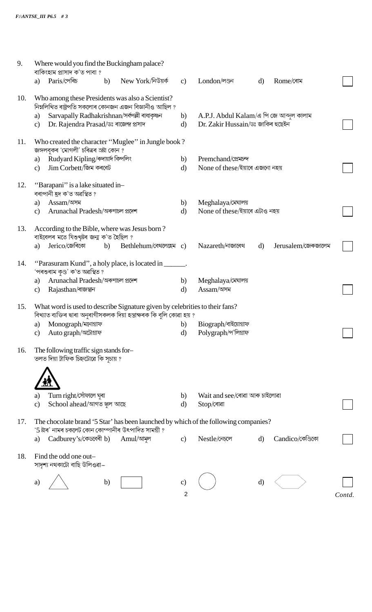| 9.  | Where would you find the Buckingham palace?<br>বাকিংহাম প্ৰাসাদ ক'ত পাবা ?                                                                                        |              |                                         |              |                     |        |
|-----|-------------------------------------------------------------------------------------------------------------------------------------------------------------------|--------------|-----------------------------------------|--------------|---------------------|--------|
|     | New York/নিউয়র্ক<br>Paris/পেৰিচ<br>b)<br>a)                                                                                                                      | $\mathbf{c}$ | London/লণ্ডন                            | $\mathbf{d}$ | Rome/ৰোম            |        |
| 10. | Who among these Presidents was also a Scientist?<br>নিম্নলিখিত ৰাষ্ট্ৰপতি সকলোৰ কোনজন এজন বিজ্ঞানীও আছিল ?<br>Sarvapally Radhakrishnan/সৰ্বপল্লী ৰাধাকৃষ্ণন<br>a) | b)           | A.P.J. Abdul Kalam/এ পি জে আব্দুল কালাম |              |                     |        |
|     | Dr. Rajendra Prasad/ডঃ ৰাজেন্দ্ৰ প্ৰসাদ<br>$\mathbf{c})$                                                                                                          | $\mathbf{d}$ | Dr. Zakir Hussain/ডঃ জাকিৰ হুছেইন       |              |                     |        |
| 11. | Who created the character "Muglee" in Jungle book?<br>জঙ্গলবুকৰ 'মোগলী' চৰিত্ৰৰ স্ৰষ্টা কোন ?                                                                     |              |                                         |              |                     |        |
|     | Rudyard Kipling/ৰুদায়াৰ্দ কিপলিং<br>a)                                                                                                                           | b)           | Premchand/প্ৰেমচন্দ                     |              |                     |        |
|     | Jim Corbett/জিম কৰবেট<br>$\mathbf{c})$                                                                                                                            | $\mathbf{d}$ | None of these/ইয়াৰে এজনো নহয়          |              |                     |        |
| 12. | "Barapani" is a lake situated in-<br>বৰাপানী হ্ৰদ ক'ত অৱস্থিত ?                                                                                                   |              |                                         |              |                     |        |
|     | $Assam/\n$ সম<br>a)                                                                                                                                               | b)           | Meghalaya/মেঘালয়                       |              |                     |        |
|     | Arunachal Pradesh/অৰুণাচল প্ৰদেশ<br>$\mathbf{c})$                                                                                                                 | $\mathbf{d}$ | None of these/ইয়াৰে এটাও নহয়          |              |                     |        |
| 13. | According to the Bible, where was Jesus born?<br>বাইবেলৰ মতে যিশুখৃষ্টৰ জন্ম ক'ত হৈছিল ?                                                                          |              |                                         |              |                     |        |
|     | Jerico/জেৰিকো<br>Bethlehum/বেথলেহেম c)<br>b)<br>a)                                                                                                                |              | Nazareth/নাজাৰেথ                        | $\mathbf{d}$ | Jerusalem/জেৰুজালেম |        |
| 14. | "Parasuram Kund", a holy place, is located in<br>'পৰশুৰাম কুণ্ড' ক'ত অৱস্থিত ?                                                                                    |              |                                         |              |                     |        |
|     | Arunachal Pradesh/অৰুণাচল প্ৰদেশ<br>a)                                                                                                                            | b)           | Meghalaya/মেঘালয়                       |              |                     |        |
|     | Rajasthan/ৰাজস্থন<br>$\mathbf{c})$                                                                                                                                | d)           | Assam/অসম                               |              |                     |        |
| 15. | What word is used to describe Signature given by celebrities to their fans?<br>বিখ্যাত ব্যক্তিৰ দ্বাৰা অনুৰাগীসকলক দিয়া হস্তাক্ষৰক কি বুলি কোৱা হয় ?            |              |                                         |              |                     |        |
|     | Monograph/মনোগ্ৰাফ<br>a)                                                                                                                                          | b)           | Biograph/বাইয়োগ্ৰাফ                    |              |                     |        |
|     | Auto graph/অটোগ্ৰাফ<br>$\mathbf{c})$                                                                                                                              | d)           | Polygraph/প'লিগ্ৰাফ                     |              |                     |        |
| 16. | The following traffic sign stands for-<br>তলত দিয়া ট্রাফিক চিহ্নটোৱে কি সুচায় ?                                                                                 |              |                                         |              |                     |        |
|     |                                                                                                                                                                   |              |                                         |              |                     |        |
|     | $Turn$ $right/\n$ োঁফালে ঘুৰা<br>a)                                                                                                                               | b)           | Wait and see/ৰোৱা আৰু চাইলোৱা           |              |                     |        |
|     | School ahead/আগত স্কুল আছে<br>$\mathbf{c})$                                                                                                                       | d)           | Stop/ৰোৱা                               |              |                     |        |
| 17. | The chocolate brand '5 Star' has been launched by which of the following companies?<br>'5 ষ্টাৰ' নামৰ চকলেট কোন কোম্পানীৰ উৎপাদিত সামগ্ৰী ?                       |              |                                         |              |                     |        |
|     | Cadburey's/কেডবেৰী b)<br>Amul/আমূল<br>a)                                                                                                                          | $\mathbf{c}$ | Nestle/নেচলে                            | $\mathbf{d}$ | Candico/কেণ্ডিকো    |        |
| 18. | Find the odd one out-<br>সাদৃশ্য নথকাটো বাছি উলিওৱা–                                                                                                              |              |                                         |              |                     |        |
|     | b)<br>a)                                                                                                                                                          | C)           |                                         | d)           |                     |        |
|     |                                                                                                                                                                   |              |                                         |              |                     |        |
|     |                                                                                                                                                                   | 2            |                                         |              |                     | Contd. |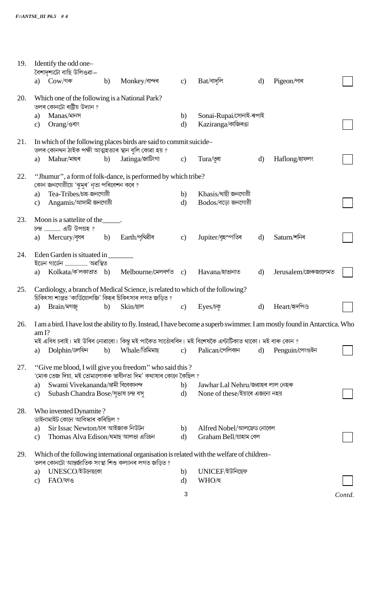| 19. |               | Identify the odd one-<br>বৈশাদৃশ্যটো বাছি উলিওৱা–                               |    |                                                                                                                                             |                |                                                                                                      |              |                                                                                                                            |        |
|-----|---------------|---------------------------------------------------------------------------------|----|---------------------------------------------------------------------------------------------------------------------------------------------|----------------|------------------------------------------------------------------------------------------------------|--------------|----------------------------------------------------------------------------------------------------------------------------|--------|
|     |               | a) Cow/গৰু                                                                      | b) | Monkey/বান্দৰ                                                                                                                               | c)             | $\mathrm{Bat}/$ বাদলি                                                                                | $\mathbf{d}$ | Pigeon/পাৰ                                                                                                                 |        |
| 20. |               | Which one of the following is a National Park?<br>তলৰ কোনটো ৰাষ্ট্ৰীয় উদ্যান ? |    |                                                                                                                                             |                |                                                                                                      |              |                                                                                                                            |        |
|     | a)            | Manas/মানস                                                                      |    |                                                                                                                                             | b)             | Sonai-Rupai/সোনাই-ৰূপাই                                                                              |              |                                                                                                                            |        |
|     | $\mathbf{c}$  | Orang/ওৰাং                                                                      |    |                                                                                                                                             | $\mathbf{d}$   | Kaziranga/কাজিৰঙা                                                                                    |              |                                                                                                                            |        |
| 21. |               | তলৰ কোনখন ঠাইক পক্ষী আত্মহত্যাৰ স্থান বুলি কোৱা হয় ?                           |    | In which of the following places birds are said to commit suicide-                                                                          |                |                                                                                                      |              |                                                                                                                            |        |
|     | a)            | Mahur/মাহুৰ                                                                     | b) | Jatinga/জাটিংগা                                                                                                                             | $\mathbf{c})$  | Tura/তুৰা                                                                                            | $\mathbf{d}$ | Haflong/হাফলং                                                                                                              |        |
| 22. |               | কোন জনগোষ্ঠীয়ে 'ঝুমুৰ' নৃত্য পৰিবেশন কৰে ?                                     |    | "Jhumur", a form of folk-dance, is performed by which tribe?                                                                                |                |                                                                                                      |              |                                                                                                                            |        |
|     | a)            | Tea-Tribes/চাহ-জনগোষ্ঠী                                                         |    |                                                                                                                                             | b)             | Khasis/খাছী জনগোষ্ঠী                                                                                 |              |                                                                                                                            |        |
|     | $\mathbf{c}$  | Angamis/আঙ্গামী জনগোষ্ঠী                                                        |    |                                                                                                                                             | $\mathbf{d}$   | $Bodos/\overline{a}$ ড়ো জনগোষ্ঠী                                                                    |              |                                                                                                                            |        |
| 23. |               | Moon is a sattelite of the ______.<br><u>চন্দ্ৰ </u> এটি উপগ্ৰহ ?               |    |                                                                                                                                             |                |                                                                                                      |              |                                                                                                                            |        |
|     |               | a) Mercury/বৃধৰ b) Earth/পৃথিৱীৰ                                                |    |                                                                                                                                             | $\mathbf{c}$ ) | Jupiter/বৃহস্পতিৰ                                                                                    | $\mathbf{d}$ | Saturn/শনিৰ                                                                                                                |        |
| 24. |               | Eden Garden is situated in ________                                             |    |                                                                                                                                             |                |                                                                                                      |              |                                                                                                                            |        |
|     | a)            |                                                                                 |    | $Kolkata/\Phi$ 'লকাতাত b) Melbourne/মেলবৰ্ণত c)                                                                                             |                | Havana/হাভানাত                                                                                       | $\mathbf{d}$ | Jerusalem/জেৰুজালেমত                                                                                                       |        |
| 25. |               |                                                                                 |    | Cardiology, a branch of Medical Science, is related to which of the following?<br>চিকিৎসা শাস্ত্ৰত 'কাৰ্ডিয়োলজি' কিহৰ চিকিৎসাৰ লগত জড়িত ? |                |                                                                                                      |              |                                                                                                                            |        |
|     | a)            | Brain/মগজ                                                                       | b) | $\sin$ ⁄ছাল                                                                                                                                 | $\mathbf{c})$  | Eyes/ $5\overline{9}$                                                                                | d)           | Heart/হৃদপিণ্ড                                                                                                             |        |
| 26. | am I?         |                                                                                 |    |                                                                                                                                             |                |                                                                                                      |              | I am a bird. I have lost the ability to fly. Instead, I have become a superb swimmer. I am mostly found in Antarctica. Who |        |
|     |               |                                                                                 |    |                                                                                                                                             |                | মই এবিধ চৰাই। মই উৰিব নোৱাৰো। কিন্তু মই পাকৈত সাতোঁৰবিদ। মই বিশেষকৈ এন্টাৰ্টিকাত থাকো। মই বাৰু কোন ? |              |                                                                                                                            |        |
|     | a)            | Dolphin/ডলফিন                                                                   | b) | Whale/তিমিমাছ                                                                                                                               | $\mathbf{c}$ ) | Palican/পেলিকান                                                                                      | d)           | Penguin/পেংগুইন                                                                                                            |        |
| 27. |               |                                                                                 |    | "Give me blood, I will give you freedom" who said this?<br>'মোক তেজ দিয়া, মই তোমালোকক স্বাধীনতা দিম' কথাষাৰ কোনে কৈছিল ?                   |                |                                                                                                      |              |                                                                                                                            |        |
|     | a)            | Swami Vivekananda/স্বামী বিবেকানন্দ                                             |    |                                                                                                                                             | b)             | Jawhar Lal Nehru/জৱাহৰ লাল নেহৰু                                                                     |              |                                                                                                                            |        |
|     | c)            | Subash Chandra Bose/সৃভাষ চন্দ্ৰ বসৃ                                            |    |                                                                                                                                             | $\mathbf{d}$   | None of these/ইয়াৰে এজনো নহয়                                                                       |              |                                                                                                                            |        |
| 28. |               | Who invented Dynamite?<br>ডাইনামাইট কোনে আবিস্কাৰ কৰিছিল ?                      |    |                                                                                                                                             |                |                                                                                                      |              |                                                                                                                            |        |
|     | a)            | Sir Issac Newton/চাৰ আইজাক নিউটন                                                |    |                                                                                                                                             | b)             | Alfred Nobel/আলফ্রেড নোবেল                                                                           |              |                                                                                                                            |        |
|     | $\mathbf{c}$  | Thomas Alva Edison/থমাছ আলভা এডিচন                                              |    |                                                                                                                                             | $\mathbf{d}$   | Graham Bell/গ্ৰাহাম বেল                                                                              |              |                                                                                                                            |        |
| 29. |               | তলৰ কোনটো আন্তৰ্জাতিক সংস্থা শিশু কল্যানৰ লগত জড়িত ?                           |    |                                                                                                                                             |                | Which of the following international organisation is related with the welfare of children-           |              |                                                                                                                            |        |
|     | a)            | UNESCO/ইউনেছকো                                                                  |    |                                                                                                                                             | b)             | UNICEF/ইউনিছেফ                                                                                       |              |                                                                                                                            |        |
|     | $\mathbf{c})$ | FAO/ফাও                                                                         |    |                                                                                                                                             | d)             | WHO/হ                                                                                                |              |                                                                                                                            |        |
|     |               |                                                                                 |    |                                                                                                                                             | 3              |                                                                                                      |              |                                                                                                                            | Contd. |
|     |               |                                                                                 |    |                                                                                                                                             |                |                                                                                                      |              |                                                                                                                            |        |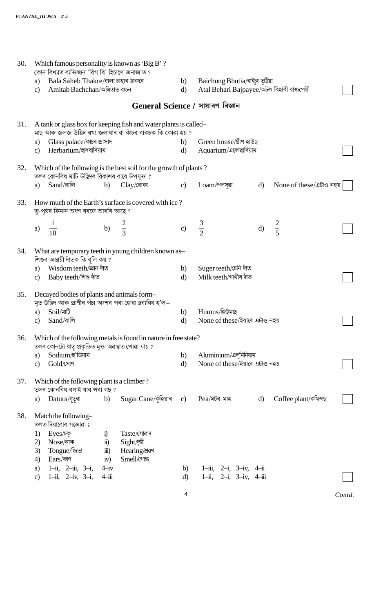| 30. | Which famous personality is known as 'Big B'?<br>কোন বিখ্যাত ব্যক্তিজন 'বিগ বি' হিচাপে জনাজাত ?                                                                                                                                                           |                    |                                                                            |              |                         |        |
|-----|-----------------------------------------------------------------------------------------------------------------------------------------------------------------------------------------------------------------------------------------------------------|--------------------|----------------------------------------------------------------------------|--------------|-------------------------|--------|
|     | Bala Saheb Thakre/বালা চাহাব ঠাকৰে<br>a)<br>Amitab Bachchan/অমিতাভ বচ্চন<br>$\mathbf{c}$                                                                                                                                                                  | b)<br>$\mathbf{d}$ | Baichung Bhutia/বাইচ্ং ভূটিয়া<br>Atal Behari Bajpayee/অটল বিহাৰী বাজপেয়ী |              |                         |        |
|     |                                                                                                                                                                                                                                                           |                    | General Science / সাধাৰণ বিজ্ঞান                                           |              |                         |        |
| 31. | A tank or glass box for keeping fish and water plants is called-<br>মাছ আৰু জলজ উদ্ভিদ ৰখা জলাধাৰ বা কাঁচৰ বাকচক কি কোৱা হয় ?                                                                                                                            |                    |                                                                            |              |                         |        |
|     | Glass palace/কাচৰ প্ৰাসাদ<br>a)<br>Herbarium/হাৰবাৰিয়াম<br>$\mathbf{c}$                                                                                                                                                                                  | b)<br>$\mathbf{d}$ | Green house/গ্ৰীণ হাউছ<br>Aquarium/একোৱাৰিয়াম                             |              |                         |        |
| 32. | Which of the following is the best soil for the growth of plants?<br>তলৰ কোনবিধ মাটি উদ্ভিদৰ বিকাশৰ বাবে উপযুক্ত ?                                                                                                                                        |                    |                                                                            |              |                         |        |
|     | Sand/বালি<br>Clay/বোকা<br>b)<br>a)                                                                                                                                                                                                                        | $\mathbf{c}$       | Loam/পলসুৱা                                                                | $\mathbf{d}$ | None of these/এটাও নহয় |        |
| 33. | How much of the Earth's surface is covered with ice?<br>ভূ-পৃষ্ঠৰ কিমান অংশ বৰফে আবৰি আছে ?                                                                                                                                                               |                    |                                                                            |              |                         |        |
|     | $rac{2}{3}$<br>b)<br>a)<br>$\frac{1}{10}$                                                                                                                                                                                                                 | c)                 | $rac{3}{2}$                                                                | d)           | $rac{2}{5}$             |        |
| 34. | What are temporary teeth in young children known as-<br>শিশুৰ অস্থায়ী দাঁতক কি বুলি কয় ?                                                                                                                                                                |                    |                                                                            |              |                         |        |
|     | Wisdom teeth/জ্ঞান দাঁত<br>a)<br>Baby teeth/শিশু দাঁত<br>$\mathbf{c}$                                                                                                                                                                                     | b)<br>$\mathbf{d}$ | Suger teeth/চেনি দাঁত<br>Milk teeth/গাখীৰ দাঁত                             |              |                         |        |
| 35. | Decayed bodies of plants and animals form-<br>মৃত উদ্ভিদ আৰু প্ৰাণীৰ পঁচা অংশৰ পৰা হোৱা দ্ৰব্যবিধ হ'ল—                                                                                                                                                    |                    |                                                                            |              |                         |        |
|     | $Soil/\overline{\mathfrak{A}}\overline{\mathfrak{b}}$<br>a)<br>Sand/বালি<br>C)                                                                                                                                                                            | b)<br>d)           | Humus/হিউমাছ<br>None of these/ইয়াৰে এটাও নহয়                             |              |                         |        |
| 36. | Which of the following metals is found in nature in free state?<br>তলৰ কোনটো ধাতৃ প্ৰকৃতিত মুক্ত অৱস্থাত পোৱা যায় ?                                                                                                                                      |                    |                                                                            |              |                         |        |
|     | Sodium/ছ'ডিয়াম<br>a)<br>Gold/সোণ<br>$\mathbf{c}$                                                                                                                                                                                                         | b)<br>$\mathbf{d}$ | Aluminium/এলুমিনিয়াম<br>None of these/ইয়াৰে এটাও নহয়                    |              |                         |        |
| 37. | Which of the following plant is a climber?<br>তলৰ কোনবিধ বগাই যাব পৰা গছ?                                                                                                                                                                                 |                    |                                                                            |              |                         |        |
|     | Sugar Cane/কৃঁহিয়াৰ<br>Datura/ধুতুৰা<br>b)<br>a)                                                                                                                                                                                                         | c)                 | $Pea/\overline{\lambda}$ টৰ মাহ                                            | $\mathbf{d}$ | Coffee plant/কফিগছ      |        |
| 38. | Match the following-<br>তলত দিয়াবোৰ সজোৱা ঃ<br>Taste/সোৱাদ<br>Eyes/চকু<br>1)<br>$\ddot{1}$<br>Nose/নাক<br>$\ddot{\mathbf{n}}$ )<br>Sight/দৃষ্টি<br>2)<br>Tongue/জিভা<br>Hearing/<br>3)<br>$\dddot{\mathbf{m}}$ )<br>Ears/কাণ<br>Smell/গোন্ধ<br>4)<br>iv) |                    |                                                                            |              |                         |        |
|     | 1-ii, 2-iii, 3-i,<br>$4 - iv$<br>a)<br>1-ii, 2-iv, 3-i,<br>$4 - i$<br>$\mathbf{c}$                                                                                                                                                                        | b)<br>d)           | 1-iii, 2-i, 3-iv, 4-ii<br>1-ii, 2-i, 3-iv, 4-iii                           |              |                         |        |
|     |                                                                                                                                                                                                                                                           | 4                  |                                                                            |              |                         | Contd. |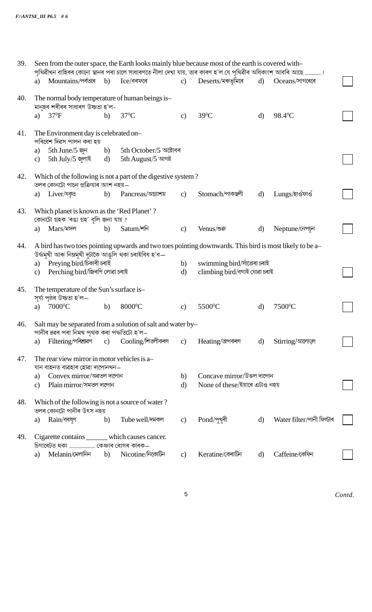39. Seen from the outer space, the Earth looks mainly blue because most of the earth is covered with-পৃথিৱীখন বাহিৰৰ কোনো স্থানৰ পৰা চালে সাধাৰণতে নীলা দেখা যায়, তাৰ কাৰণ হ'ল যে পৃথিৱীৰ অধিকাংশ আবৰি আছে .. . 1 a) Mountains/পৰ্বতৰে b) Ice/বৰফৰে Deserts/মৰুভূমিৰে Oceans/সাগৰেৰে  $\mathbf{c}$  $\mathbf{d}$ 40. The normal body temperature of human beings is-মানহৰ শৰীৰৰ সাধাৰণ উষ্ণতা হ'লa)  $37^{\circ}F$  $37^{\circ}$ C  $39^0C$  $b)$ 98.4°C  $\mathbf{c}$  $\mathbf{d}$ The Environment day is celebrated on-41. পৰিবেশ দিৱস পালন কৰা হয় a) 5th June/5 জুন  $b)$ 5th October/5 অক্টোবৰ c) 5th July/5 জুলাই 5th August/5 আগষ্ট  $\mathbf{d}$ 42. Which of the following is not a part of the digestive system? তলৰ কোনটো পাচন প্ৰক্ৰিয়াৰ অংশ নহয়— Pancreas/অগ্ন্যাশয় a) Liver/यक्र Stomach/পাকস্থলী Lungs/হাওঁফাওঁ  $b)$  $\mathbf{c}$  $\mathbf{d}$ 43. Which planet is known as the 'Red Planet'? কোনটো গ্ৰহক 'ৰঙা গ্ৰহ' বুলি জনা যায় ? a) Mars/মঙ্গল  $b)$ Saturn/শনি Venus/শুক্র Neptune/নেপচন  $\mathbf{c}$  $\mathbf{d}$ 44. A bird has two toes pointing upwards and two toes pointing downwards. This bird is most likely to be a-উৰ্দ্ধমুখী আৰু নিম্নমুখী দুটাকৈ আঙুলি থকা চৰাইবিধ হ'ব a) Preying bird/চিকাৰী চৰাই swimming bird/সাঁতোৰা চৰাই  $b)$ c) Perching bird/জিৰণি লোৱা চৰাই climbing bird/বগাই যোৱা চৰাই  $\rm d$ 45. The temperature of the Sun's surface is-সূৰ্য্য পৃষ্ঠৰ উষ্ণতা হ'ল—  $7000^{\circ}$ C 8000°C 5500<sup>°</sup>C 7500<sup>°</sup>C  $b)$ a)  $\mathbf{c}$  $\mathbf{d}$ 46. Salt may be separated from a solution of salt and water by-পানীৰ দ্ৰৱৰ পৰা নিমখ পৃথক কৰা পদ্ধতিটো হ'ল– a) Filtering/পৰিশ্ৰাৱণ Cooling/শিক্তীকৰণ  $c)$  $\mathbf{c})$ Heating/অপকৰণ  $\mathbf{d}$ Stirring/আলোড়া 47. The rear view mirror in motor vehicles is a-যান বাহনত ব্যৱহাৰ হোৱা দাপোনখন— Convex mirror/অৱতল দাপোন  $b)$ Concave mirror/উত্তল দাপোন  $a)$ None of these/ইয়াৰে এটাও নহয় c) Plain mirror/সমতল দাপোন  $\mathbf{d}$ 48. Which of the following is not a source of water? তলৰ কোনটো পানীৰ উৎস নহয়  $Pond/\gamma$ খুৰী Water filter/পানী ফিল্টাৰ a) Rain/বৰষুণ b) Tube well/দমকল  $\mathbf{c}$ d) Cigarette contains \_which causes cancer. 49. ..... কেঞ্চাৰ ৰোগৰ কাৰক— চিগাৰেটত থকা .......... Melanin/মেলানিন Nicotine/নিকোটিন Keratine/কেৰাটিন Caffeine/কেফিন  $b)$  $\mathbf{c}$  $\mathbf{d}$ a)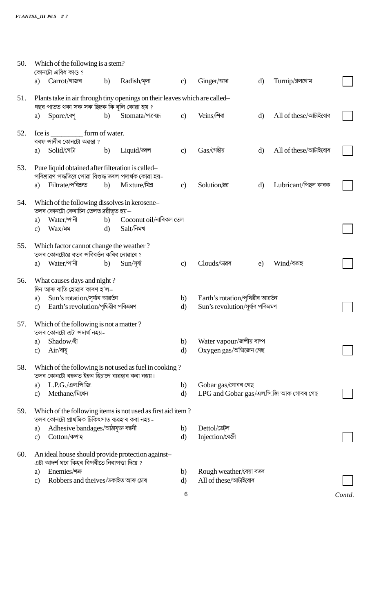| 50. |               | Which of the following is a stem?<br>কোনটো এবিধ কাণ্ড?                                                     |    |                                                                            |               |                                         |              |                      |        |
|-----|---------------|------------------------------------------------------------------------------------------------------------|----|----------------------------------------------------------------------------|---------------|-----------------------------------------|--------------|----------------------|--------|
|     | a)            | Carrot/গাজৰ                                                                                                | b) | Radish/अला                                                                 | $\mathbf{c}$  | Ginger/আদা                              | d)           | Turnip/blenchl       |        |
| 51. |               | গছৰ পাতত থকা সৰু সৰু ছিদ্ৰক কি বুলি কোৱা হয় ?                                                             |    | Plants take in air through tiny openings on their leaves which are called- |               |                                         |              |                      |        |
|     | a)            | Spore/ৰেণ                                                                                                  | b) | Stomata/পত্ৰৰন্ধ                                                           | $\mathbf{c}$  | Veins/শিৰা                              | $\mathbf{d}$ | All of these/আটাইবোৰ |        |
| 52. |               | বৰফ পানীৰ কোনটো অৱস্থা ?                                                                                   |    |                                                                            |               |                                         |              |                      |        |
|     | a)            | Solid/গোটা                                                                                                 | b) | Liquid/জ্ঞল                                                                | $\mathbf{c}$  | $Gas$ /গেছীয়                           | $\mathbf{d}$ | All of these/আটাইবোৰ |        |
| 53. |               | Pure liquid obtained after filteration is called-<br>পৰিশ্ৰাৱণ পদ্ধতিৰে পোৱা বিশুদ্ধ তৰল পদাৰ্থক কোৱা হয়- |    |                                                                            |               |                                         |              |                      |        |
|     | a)            | Filtrate/পৰিশ্ৰুত                                                                                          | b) | Mixture/মিশ্র                                                              | $\mathbf{c})$ | Solution/                               | $\mathbf{d}$ | Lubricant/পিছল কাৰক  |        |
| 54. |               | Which of the following dissolves in kerosene-<br>তলৰ কোনটো কেৰাচিন তেলত দ্ৰৱীভূত হয়—                      |    |                                                                            |               |                                         |              |                      |        |
|     | a)            | Water/পানী                                                                                                 |    | b) Coconut oil/নাৰিকল তেল                                                  |               |                                         |              |                      |        |
|     | $\mathbf{c}$  | $\text{Wax}/\text{NN}$                                                                                     | d) | Salt/নিমখ                                                                  |               |                                         |              |                      |        |
| 55. |               | Which factor cannot change the weather?<br>তলৰ কোনটোৱে বতৰ পৰিবৰ্তন কৰিব নোৱাৰে ?                          |    |                                                                            |               |                                         |              |                      |        |
|     | a)            | Water/পানী                                                                                                 | b) | $Sun$ /সূর্য্য                                                             | $\mathbf{c}$  | Clouds/ডাৱৰ                             | e)           | Wind/বতাহ            |        |
| 56. |               | What causes days and night?<br>দিন আৰু ৰাতি হোৱাৰ কাৰণ হ'ল–                                                |    |                                                                            |               |                                         |              |                      |        |
|     | a)            | Sun's rotation/সূৰ্য্যৰ আৱৰ্তন                                                                             |    |                                                                            | b)            | Earth's rotation/পৃথিৱীৰ আৱৰ্তন         |              |                      |        |
|     | $\mathbf{c})$ | Earth's revolution/পৃথিৱীৰ পৰিভ্ৰমণ                                                                        |    |                                                                            | $\mathbf{d}$  | Sun's revolution/সূৰ্য্যৰ পৰিভ্ৰমণ      |              |                      |        |
| 57. |               | Which of the following is not a matter?<br>তলৰ কোনটো এটা পদাৰ্থ নহয়–                                      |    |                                                                            |               |                                         |              |                      |        |
|     | a)            | Shadow <sup>[5]</sup>                                                                                      |    |                                                                            | b)            | Water vapour/জলীয় বাষ্প                |              |                      |        |
|     | $\mathbf{c})$ | $Air/\sqrt{3}$ য়ু                                                                                         |    |                                                                            | d)            | Oxygen gas/অক্সিজেন গেছ                 |              |                      |        |
| 58. |               | তলৰ কোনটো ৰন্ধনত ইন্ধন হিচাপে ব্যৱহাৰ কৰা নহয়।                                                            |    | Which of the following is not used as fuel in cooking?                     |               |                                         |              |                      |        |
|     | a)            | $L.P.G./$ এল.পি.জি.                                                                                        |    |                                                                            | b)            | Gobar gas/গোবৰ গেছ                      |              |                      |        |
|     | $\mathbf{c})$ | Methane/মিথেন                                                                                              |    |                                                                            | $\rm d$       | LPG and Gobar gas/এল.পি.জি আৰু গোবৰ গেছ |              |                      |        |
| 59. |               | তলৰ কোনটো প্ৰাথমিক চিকিৎসাত ব্যৱহাৰ কৰা নহয়-                                                              |    | Which of the following items is not used as first aid item?                |               |                                         |              |                      |        |
|     | a)            | Adhesive bandages/আঠাযুক্ত বন্ধনী<br>Cotton/কপাহ                                                           |    |                                                                            | b)            | Dettol/ডেট্ল<br>Injection/বেজী          |              |                      |        |
|     | $\mathbf{c})$ |                                                                                                            |    |                                                                            | d)            |                                         |              |                      |        |
| 60. |               | এটা আদৰ্শ ঘৰে কিহৰ বিপৰীতে নিৰাপত্তা দিয়ে ?                                                               |    | An ideal house should provide protection against-                          |               |                                         |              |                      |        |
|     | a)            | Enemies/*                                                                                                  |    |                                                                            | b)            | Rough weather/বেয়া বতৰ                 |              |                      |        |
|     | $\mathbf{c})$ | Robbers and theives/ডকাইত আৰু চোৰ                                                                          |    |                                                                            | d)            | All of these/আটাইবোৰ                    |              |                      |        |
|     |               |                                                                                                            |    |                                                                            | 6             |                                         |              |                      | Contd. |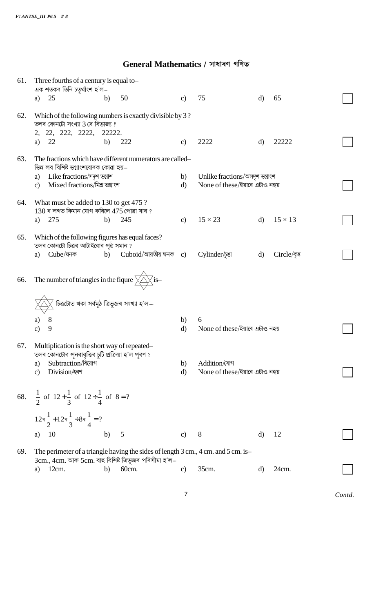## General Mathematics / সাধাৰণ গণিত

| 61. | Three fourths of a century is equal to-<br>এক শতকৰ তিনি চতুৰ্থাংশ হ'ল–                                                                      |    |                                          |                    |                                                                  |              |                |  |
|-----|---------------------------------------------------------------------------------------------------------------------------------------------|----|------------------------------------------|--------------------|------------------------------------------------------------------|--------------|----------------|--|
|     | 25<br>a)                                                                                                                                    | b) | 50                                       | $\mathbf{c}$       | 75                                                               | $\mathbf{d}$ | 65             |  |
| 62. | Which of the following numbers is exactly divisible by 3?<br>তলৰ কোনটো সংখ্যা 3 ৰে বিভাজ্য ?<br>2, 22, 222, 2222, 22222.                    |    |                                          |                    |                                                                  |              |                |  |
|     | 22<br>a)                                                                                                                                    | b) | 222                                      | $\mathbf{c}$       | 2222                                                             | $\mathbf{d}$ | 22222          |  |
| 63. | The fractions which have different numerators are called-<br>ভিন্ন লব বিশিষ্ট ভগ্নাংশবোৰক কোৱা হয়–                                         |    |                                          |                    |                                                                  |              |                |  |
|     | Like fractions/সদৃশ ভগ্নাশ<br>a)<br>Mixed fractions/মিশ্র ভগ্নাংশ<br>$\mathbf{c}$                                                           |    |                                          | b)<br>$\mathbf{d}$ | Unlike fractions/অসদৃশ ভগ্নাংশ<br>None of these/ইয়াৰে এটাও নহয় |              |                |  |
| 64. | What must be added to 130 to get 475 ?<br>$130$ ৰ লগত কিমান যোগ কৰিলে $475$ পোৱা যাব ?                                                      |    |                                          |                    |                                                                  |              |                |  |
|     | 275<br>a)                                                                                                                                   | b) | 245                                      | $\mathbf{c}$       | $15 \times 23$                                                   | $\mathbf{d}$ | $15 \times 13$ |  |
| 65. | Which of the following figures has equal faces?<br>তলৰ কোনটো চিত্ৰৰ আটাইবোৰ পৃষ্ঠ সমান ?                                                    |    |                                          |                    |                                                                  |              |                |  |
|     | Cube/ঘনক<br>a)                                                                                                                              | b) | $\emph{Cuboid}/$ আয়তীয় ঘনক $\emph{c)}$ |                    | Cylinder/pet                                                     | d)           | Circle/বৃত্ত   |  |
| 66. | The number of triangles in the figure $\angle \angle \angle$ is-                                                                            |    |                                          |                    |                                                                  |              |                |  |
|     | চিত্ৰটোত থকা সৰ্বমুঠ ত্ৰিভুজৰ সংখ্যা হ'ল—                                                                                                   |    |                                          |                    |                                                                  |              |                |  |
|     | 8<br>a)<br>9<br>$\mathbf{c}$                                                                                                                |    |                                          | b)<br>$\rm d$      | 6<br>None of these/ইয়াৰে এটাও নহয়                              |              |                |  |
|     |                                                                                                                                             |    |                                          |                    |                                                                  |              |                |  |
| 67. | Multiplication is the short way of repeated-<br>তলৰ কোনটোৰ পুনৰাবৃত্তিৰ চুটি প্ৰক্ৰিয়া হ'ল পূৰণ ?                                          |    |                                          |                    |                                                                  |              |                |  |
|     | Subtraction/বিয়োগ<br>a)<br>Division/হৰণ<br>c)                                                                                              |    |                                          | b)<br>$\rm d$      | Addition/যোগ<br>None of these/ইয়াৰে এটাও নহয়                   |              |                |  |
|     |                                                                                                                                             |    |                                          |                    |                                                                  |              |                |  |
|     | 68. $\frac{1}{2}$ of $12 + \frac{1}{3}$ of $12 \div \frac{1}{4}$ of $8 = ?$                                                                 |    |                                          |                    |                                                                  |              |                |  |
|     | $12\pi\frac{1}{2}+12\pi\frac{1}{3}\div 8\pi\frac{1}{4}=?$                                                                                   |    |                                          |                    |                                                                  |              |                |  |
|     | 10<br>a)                                                                                                                                    | b) | 5                                        | $\mathbf{c})$      | 8                                                                | $\mathbf{d}$ | 12             |  |
| 69. | The perimeter of a triangle having the sides of length 3 cm., 4 cm. and 5 cm. is-<br>3cm., 4cm. আৰু 5cm. বাহু বিশিষ্ট ত্ৰিভুজৰ পৰিসীমা হ'ল– |    |                                          |                    |                                                                  |              |                |  |
|     | $12cm$ .<br>a)                                                                                                                              | b) | 60cm.                                    | $\mathbf{c})$      | 35cm.                                                            | $\rm d$      | 24cm.          |  |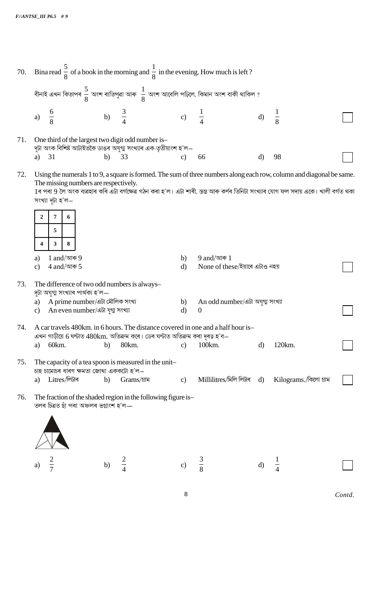| 70. |                     |                                                                                                                     |                  |             |                    | Bina read $\frac{5}{8}$ of a book in the morning and $\frac{1}{8}$ in the evening. How much is left?     |              |                                                                                                                                                                                                                                                             |        |
|-----|---------------------|---------------------------------------------------------------------------------------------------------------------|------------------|-------------|--------------------|----------------------------------------------------------------------------------------------------------|--------------|-------------------------------------------------------------------------------------------------------------------------------------------------------------------------------------------------------------------------------------------------------------|--------|
|     |                     |                                                                                                                     |                  |             |                    | বীনাই এখন কিতাপৰ $\frac{5}{8}$ অংশ ৰাতিপুৱা আৰু $\ \frac{1}{8}$ অংশ আবেলি পঢ়িলে, কিমান অংশ বাকী থাকিল ? |              |                                                                                                                                                                                                                                                             |        |
|     | a)                  | $\frac{6}{8}$                                                                                                       | b) $\frac{3}{4}$ |             | c) $\frac{1}{4}$   |                                                                                                          | $\mathbf{d}$ | $\frac{1}{8}$                                                                                                                                                                                                                                               |        |
| 71. |                     | One third of the largest two digit odd number is-<br>দুটা অংক বিশিষ্ট আটাইতকৈ ডাঙৰ অযুগ্ম সংখ্যাৰ এক-তৃতীয়াংশ হ'ল— |                  |             |                    |                                                                                                          |              |                                                                                                                                                                                                                                                             |        |
|     | a)                  | 31                                                                                                                  | b)               | 33          | $\mathbf{c}$       | 66                                                                                                       | $\mathbf{d}$ | 98                                                                                                                                                                                                                                                          |        |
| 72. |                     | The missing numbers are respectively.<br>সংখ্যা দুটা হ'ল—                                                           |                  |             |                    |                                                                                                          |              | Using the numerals 1 to 9, a square is formed. The sum of three numbers along each row, column and diagonal be same.<br>1ৰ পৰা 9 লৈ অংক ব্যৱহাৰ কৰি এটা বৰ্গক্ষেত্ৰ গঠন কৰা হ'ল। এটা শাৰী, স্তম্ভ আৰু কৰ্ণৰ তিনিটা সংখ্যাৰ যোগ ফল সদায় একে। খালী বৰ্গত থকা |        |
|     | $\overline{2}$<br>4 | 7<br>6<br>5<br>3<br>8                                                                                               |                  |             |                    |                                                                                                          |              |                                                                                                                                                                                                                                                             |        |
|     |                     | 1 and/আৰু $9$                                                                                                       |                  |             | b)                 | 9 and/আৰু $1$                                                                                            |              |                                                                                                                                                                                                                                                             |        |
|     | a)<br>$\mathbf{c})$ | $4$ and/আৰু 5                                                                                                       |                  |             | $\mathbf{d}$       | None of these/ইয়াৰে এটাও নহয়                                                                           |              |                                                                                                                                                                                                                                                             |        |
| 73. |                     | The difference of two odd numbers is always-<br>দুটা অযুগ্ম সংখ্যাৰ পাৰ্থক্য হ'ল—                                   |                  |             |                    |                                                                                                          |              |                                                                                                                                                                                                                                                             |        |
|     | a)<br>$\mathbf{c})$ | A prime number/এটা মৌলিক সংখ্য<br>An even number/এটা যুগ্ম সংখ্যা                                                   |                  |             | b)<br>$\mathbf{d}$ | An odd number/এটা অযুগ্ম সংখ্যা<br>$\boldsymbol{0}$                                                      |              |                                                                                                                                                                                                                                                             |        |
| 74. |                     | এখন গাড়ীয়ে 6 ঘন্টাত 480km. অতিক্ৰম কৰে। ডেৰ ঘন্টাত অতিক্ৰম কৰা দূৰত্ব হ'ব—                                        |                  |             |                    | A car travels 480km, in 6 hours. The distance covered in one and a half hour is-                         |              |                                                                                                                                                                                                                                                             |        |
|     | a)                  | 60km.                                                                                                               | b)               | 80km.       | $\mathbf{c}$       | 100km.                                                                                                   | $\mathbf{d}$ | 120km.                                                                                                                                                                                                                                                      |        |
| 75. |                     | The capacity of a tea spoon is measured in the unit-<br>চাহ চামোচৰ ধাৰণ ক্ষমতা জোখা এককটো হ'ল—                      |                  |             |                    |                                                                                                          |              |                                                                                                                                                                                                                                                             |        |
|     | a)                  | Litres/লিটাৰ                                                                                                        | b)               | Grams/গ্ৰাম | $\mathbf{c})$      | Millilitres/মিলি লিটাৰ d)                                                                                |              | Kilograms./কিলো গ্ৰাম                                                                                                                                                                                                                                       |        |
| 76. |                     | The fraction of the shaded region in the following figure is-<br>তলৰ চিত্ৰত ছাঁ পৰা অঞ্চলৰ ভগ্নাংশ হ'ল—             |                  |             |                    |                                                                                                          |              |                                                                                                                                                                                                                                                             |        |
|     |                     |                                                                                                                     |                  |             |                    |                                                                                                          |              |                                                                                                                                                                                                                                                             |        |
|     | a)                  |                                                                                                                     | b)               |             | $\mathbf{c}$       | $\frac{3}{8}$                                                                                            | $\mathbf{d}$ |                                                                                                                                                                                                                                                             |        |
|     |                     |                                                                                                                     |                  |             | 8                  |                                                                                                          |              |                                                                                                                                                                                                                                                             | Contd. |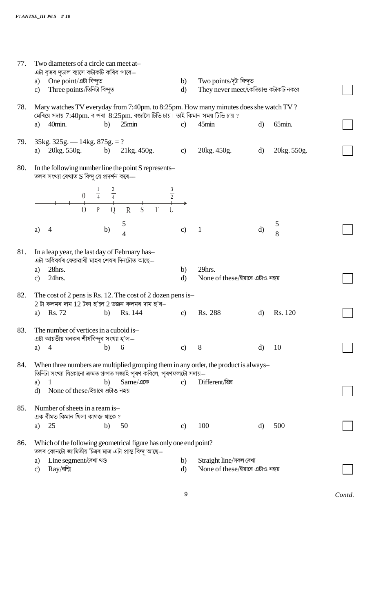| 77. | Two diameters of a circle can meet at-<br>এটা বৃত্তৰ দুডাল ব্যাসে কটাকটি কৰিব পাৰে—                                                                                        |                    |                                                                 |              |             |        |
|-----|----------------------------------------------------------------------------------------------------------------------------------------------------------------------------|--------------------|-----------------------------------------------------------------|--------------|-------------|--------|
|     | a) One point/এটা বিন্দুত<br>Three points/তিনিটা বিন্দুত<br>$\mathbf{c}$                                                                                                    | b)<br>$\mathbf{d}$ | Two points/দুটা বিন্দুত<br>They never meet/কেতিয়াও কটাকটি নকৰে |              |             |        |
| 78. | Mary watches TV everyday from 7:40pm. to 8:25pm. How many minutes does she watch TV?<br>মেৰিয়ে সদায় 7:40pm. ৰ পৰা $8:25$ pm. বজালৈ টিভি চায়। তাই কিমান সময় টিভি চায় ? |                    |                                                                 |              |             |        |
|     | 25min<br>40min.<br>b)<br>a)                                                                                                                                                | $\mathbf{c}$       | 45min                                                           | $\mathbf{d}$ | 65min.      |        |
| 79. | $35kg. 325g. - 14kg. 875g. = ?$<br>20kg. 550g. b) 21kg. 450g.<br>a)                                                                                                        | $\mathbf{c})$      | 20kg. 450g.                                                     | d)           | 20kg. 550g. |        |
| 80. | In the following number line the point S represents-<br>তলৰ সংখ্যা ৰেখাত S বিন্দু য়ে প্ৰদৰ্শন কৰে—                                                                        |                    |                                                                 |              |             |        |
|     | 0 $\frac{1}{4}$ $\frac{2}{4}$<br>0 P Q R S T                                                                                                                               |                    |                                                                 |              |             |        |
|     | $rac{5}{4}$<br>b)<br>a)                                                                                                                                                    | $\mathbf{c}$       | $\mathbf{1}$                                                    | $\mathbf{d}$ | $rac{5}{8}$ |        |
| 81. | In a leap year, the last day of February has-<br>এটা অধিবৰ্ষৰ ফেব্ৰুৱাৰী মাহৰ শেষৰ দিনটোত আছে—                                                                             |                    |                                                                 |              |             |        |
|     | 28hrs.<br>a)<br>24hrs.<br>$\mathbf{c}$                                                                                                                                     | b)<br>$\mathbf{d}$ | 29hrs.<br>None of these/ইয়াৰে এটাও নহয়                        |              |             |        |
| 82. | The cost of 2 pens is Rs. 12. The cost of 2 dozen pens is-<br>$2$ টা কলমৰ দাম $12$ টকা হ'লে $2$ ডজন কলমৰ দাম হ'ব $-$                                                       |                    |                                                                 |              |             |        |
|     | Rs. 72<br>Rs. 144<br>b)<br>a)                                                                                                                                              | $\mathbf{c}$       | Rs. 288                                                         | $\mathbf{d}$ | Rs. 120     |        |
| 83. | The number of vertices in a cuboid is-<br>এটা আয়তীয় ঘনকৰ শীৰ্ষবিন্দুৰ সংখ্যা হ'ল—                                                                                        |                    |                                                                 |              |             |        |
|     | 6<br>$\overline{4}$<br>b)<br>a)                                                                                                                                            | $\mathbf{c}$       | 8                                                               | $\mathbf{d}$ | 10          |        |
| 84. | When three numbers are multiplied grouping them in any order, the product is always-<br>তিনিটা সংখ্যা যিকোনো ক্ৰমত গ্ৰুপত সজাই পূৰণ কৰিলে, পূৰণফলটো সদায়–                 |                    |                                                                 |              |             |        |
|     | Same/একে<br>b)<br>a)                                                                                                                                                       | $\mathbf{c}$       | Different/ख्रि                                                  |              |             |        |
|     | None of these/ইয়াৰে এটাও নহয়<br>$\mathbf{d}$                                                                                                                             |                    |                                                                 |              |             |        |
| 85. | Number of sheets in a ream is-<br>এক ৰীমত কিমান খিলা কাগজ থাকে?                                                                                                            |                    |                                                                 |              |             |        |
|     | 50<br>25<br>b)<br>a)                                                                                                                                                       | $\mathbf{c})$      | 100                                                             | $\rm d$      | 500         |        |
| 86. | Which of the following geometrical figure has only one end point?<br>তলৰ কোনটো জামিতীয় চিত্ৰৰ মাত্ৰ এটা প্ৰান্ত বিন্দু আছে—                                               |                    |                                                                 |              |             |        |
|     | Line segment/ৰেখা খণ্ড<br>a)<br>$Ray$ /ৰশ্মি<br>$\mathbf{c})$                                                                                                              | b)<br>$\mathbf{d}$ | Straight line/সৰল ৰেখা<br>None of these/ইয়াৰে এটাও নহয়        |              |             |        |
|     |                                                                                                                                                                            |                    |                                                                 |              |             |        |
|     |                                                                                                                                                                            | 9                  |                                                                 |              |             | Contd. |
|     |                                                                                                                                                                            |                    |                                                                 |              |             |        |
|     |                                                                                                                                                                            |                    |                                                                 |              |             |        |
|     |                                                                                                                                                                            |                    |                                                                 |              |             |        |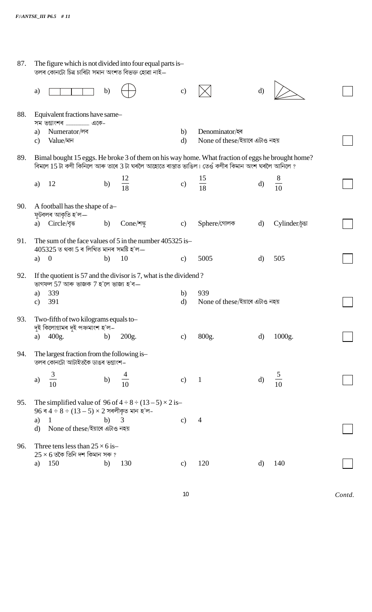| 87. | The figure which is not divided into four equal parts is-<br>তলৰ কোনটো চিত্ৰ চাৰিটা সমান অংশত বিভক্ত হোৱা নাই—                                                                                      |                       |           |                    |                                               |              |                |  |
|-----|-----------------------------------------------------------------------------------------------------------------------------------------------------------------------------------------------------|-----------------------|-----------|--------------------|-----------------------------------------------|--------------|----------------|--|
|     | a)                                                                                                                                                                                                  | $\mathbf{b}$          |           | $\mathbf{c})$      |                                               | $\rm d$      |                |  |
| 88. | Equivalent fractions have same-                                                                                                                                                                     |                       |           |                    |                                               |              |                |  |
|     | Numerator/লব<br>a)<br>Value/মান<br>$\mathbf{c}$                                                                                                                                                     |                       |           | b)<br>$\mathbf{d}$ | Denominator<br>None of these/ইয়াৰে এটাও নহয় |              |                |  |
| 89. | Bimal bought 15 eggs. He broke 3 of them on his way home. What fraction of eggs he brought home?<br>বিমলে 15 টা কণী কিনিলে আৰু তাৰে 3 টা ঘৰলৈ আহোতে ৰাস্তাত ভাঙিল। তেওঁ কণীৰ কিমান অংশ ঘৰলৈ আনিলে ? |                       |           |                    |                                               |              |                |  |
|     | 12<br>a)                                                                                                                                                                                            | $\frac{12}{18}$<br>b) |           | c)                 | $\frac{15}{18}$                               | $\mathbf{d}$ | $\frac{8}{10}$ |  |
| 90. | A football has the shape of a-<br>ফুটবলৰ আকৃতি হ'ল—                                                                                                                                                 |                       |           |                    |                                               |              |                |  |
|     | a) Circle/বৃত্ত                                                                                                                                                                                     | b)                    | Cone/শঙ্গ | $\mathbf{c}$       | Sphere/গোলক                                   | d)           | Cylinder/pet   |  |
| 91. | The sum of the face values of 5 in the number 405325 is-<br>$405325$ ত থকা 5 ৰ লিখিত মানৰ সমষ্টি হ'ল—                                                                                               |                       |           |                    |                                               |              |                |  |
|     | $\overline{0}$<br>a)                                                                                                                                                                                | 10<br>b)              |           | $\mathbf{c}$       | 5005                                          | $\rm d$      | 505            |  |
| 92. | If the quotient is 57 and the divisor is 7, what is the dividend?<br>ভাগফল 57 আৰু ভাজক 7 হ'লে ভাজ্য হ'ব—                                                                                            |                       |           |                    |                                               |              |                |  |
|     | 339<br>a)<br>391<br>$\mathbf{c})$                                                                                                                                                                   |                       |           | b)<br>$\mathbf{d}$ | 939<br>None of these/ইয়াৰে এটাও নহয়         |              |                |  |
| 93. | Two-fifth of two kilograms equals to-<br>দৃই কিলোগ্ৰামৰ দুই পঞ্চমাংশ হ'ল–                                                                                                                           |                       |           |                    |                                               |              |                |  |
|     | 400g.<br>a)                                                                                                                                                                                         | b)<br>200g.           |           | $\mathbf{c})$      | 800g.                                         | $\rm d)$     | 1000g.         |  |
| 94. | The largest fraction from the following is-<br>তলৰ কোনটো আটাইতকৈ ডাঙৰ ভগ্নাংশ–                                                                                                                      |                       |           |                    |                                               |              |                |  |
|     | 3<br>a)                                                                                                                                                                                             | b)                    |           | $\mathbf{c}$       | $\mathbf{1}$                                  | $\mathbf{d}$ | $\frac{1}{10}$ |  |
| 95. | The simplified value of $96$ of $4 \div 8 \div (13-5) \times 2$ is-<br>$96$ ৰ $4 \div 8 \div (13 - 5) \times 2$ সৰলীকৃত মান হ'ল-                                                                    |                       |           |                    |                                               |              |                |  |
|     | 1<br>a)<br>None of these/ইয়াৰে এটাও নহয়<br>d)                                                                                                                                                     | b)<br>3               |           | $\mathbf{c})$      | 4                                             |              |                |  |
| 96. | Three tens less than $25 \times 6$ is-<br>$25 \times 6$ তকৈ তিনি দশ কিমান সৰু ?                                                                                                                     |                       |           |                    |                                               |              |                |  |
|     | 150<br>a)                                                                                                                                                                                           | b)<br>130             |           | $\mathbf{c})$      | 120                                           | d)           | 140            |  |
|     |                                                                                                                                                                                                     |                       |           |                    |                                               |              |                |  |